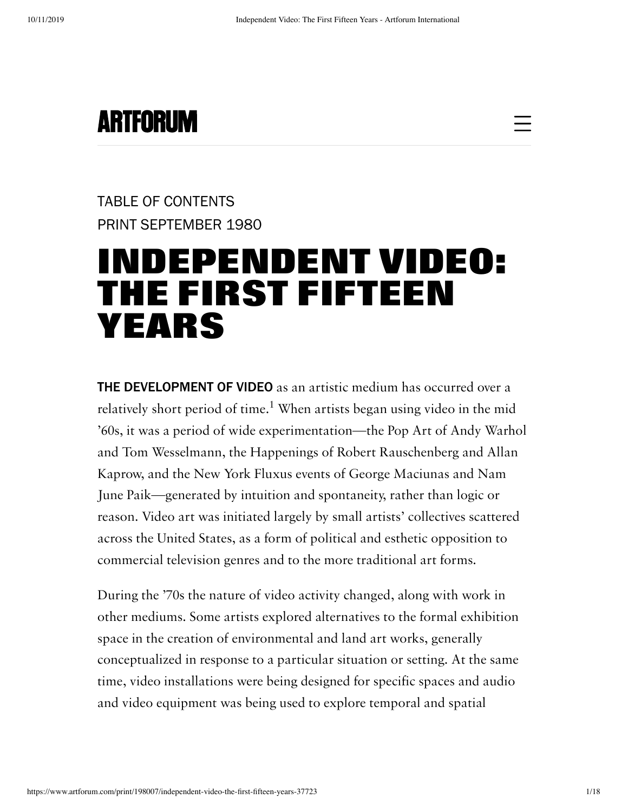

## [TABLE OF CONTENTS](https://www.artforum.com/print/198007) [PRINT SEPTEMBER 1980](https://www.artforum.com/print/198007)

# [INDEPENDENT VIDEO:](https://www.artforum.com/print/198007/independent-video-the-first-fifteen-years-37723) THE FIRST FIFTEEN YEARS

THE DEVELOPMENT OF VIDEO as an artistic medium has occurred over a relatively short period of time.<sup>1</sup> When artists began using video in the mid '60s, it was a period of wide experimentation—the Pop Art of Andy Warhol and Tom Wesselmann, the Happenings of Robert Rauschenberg and Allan Kaprow, and the New York Fluxus events of George Maciunas and Nam June Paik—generated by intuition and spontaneity, rather than logic or reason. Video art was initiated largely by small artists' collectives scattered across the United States, as a form of political and esthetic opposition to commercial television genres and to the more traditional art forms.

During the '70s the nature of video activity changed, along with work in other mediums. Some artists explored alternatives to the formal exhibition space in the creation of environmental and land art works, generally conceptualized in response to a particular situation or setting. At the same time, video installations were being designed for specific spaces and audio and video equipment was being used to explore temporal and spatial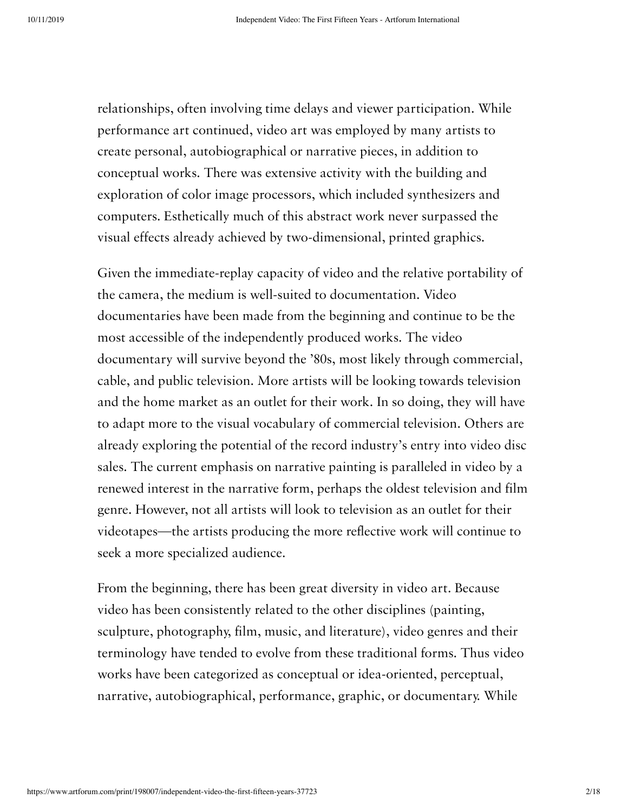relationships, often involving time delays and viewer participation. While performance art continued, video art was employed by many artists to create personal, autobiographical or narrative pieces, in addition to conceptual works. There was extensive activity with the building and exploration of color image processors, which included synthesizers and computers. Esthetically much of this abstract work never surpassed the visual effects already achieved by two-dimensional, printed graphics.

Given the immediate-replay capacity of video and the relative portability of the camera, the medium is well-suited to documentation. Video documentaries have been made from the beginning and continue to be the most accessible of the independently produced works. The video documentary will survive beyond the '80s, most likely through commercial, cable, and public television. More artists will be looking towards television and the home market as an outlet for their work. In so doing, they will have to adapt more to the visual vocabulary of commercial television. Others are already exploring the potential of the record industry's entry into video disc sales. The current emphasis on narrative painting is paralleled in video by a renewed interest in the narrative form, perhaps the oldest television and film genre. However, not all artists will look to television as an outlet for their videotapes—the artists producing the more reflective work will continue to seek a more specialized audience.

From the beginning, there has been great diversity in video art. Because video has been consistently related to the other disciplines (painting, sculpture, photography, film, music, and literature), video genres and their terminology have tended to evolve from these traditional forms. Thus video works have been categorized as conceptual or idea-oriented, perceptual, narrative, autobiographical, performance, graphic, or documentary. While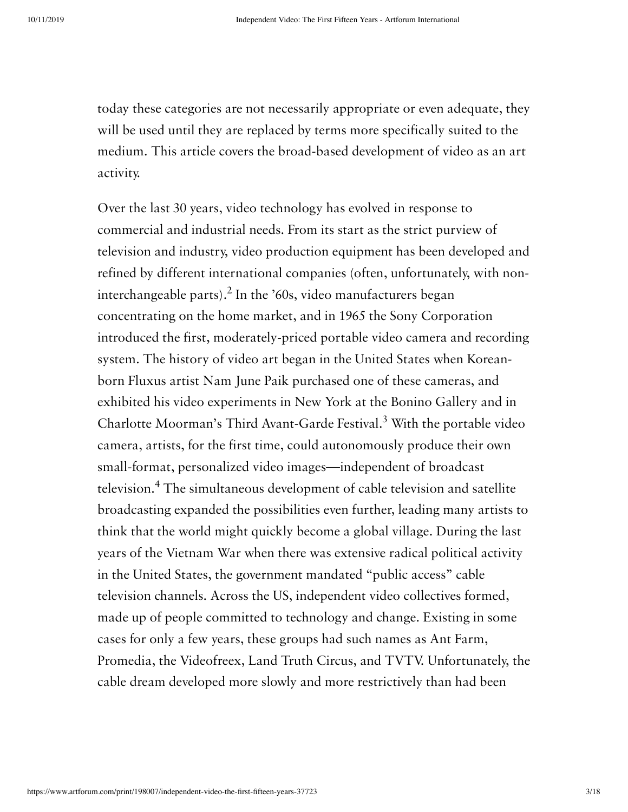today these categories are not necessarily appropriate or even adequate, they will be used until they are replaced by terms more specifically suited to the medium. This article covers the broad-based development of video as an art activity.

Over the last 30 years, video technology has evolved in response to commercial and industrial needs. From its start as the strict purview of television and industry, video production equipment has been developed and refined by different international companies (often, unfortunately, with noninterchangeable parts).<sup>2</sup> In the '60s, video manufacturers began concentrating on the home market, and in 1965 the Sony Corporation introduced the first, moderately-priced portable video camera and recording system. The history of video art began in the United States when Koreanborn Fluxus artist Nam June Paik purchased one of these cameras, and exhibited his video experiments in New York at the Bonino Gallery and in Charlotte Moorman's Third Avant-Garde Festival.<sup>3</sup> With the portable video camera, artists, for the first time, could autonomously produce their own small-format, personalized video images—independent of broadcast television.<sup>4</sup> The simultaneous development of cable television and satellite broadcasting expanded the possibilities even further, leading many artists to think that the world might quickly become a global village. During the last years of the Vietnam War when there was extensive radical political activity in the United States, the government mandated "public access" cable television channels. Across the US, independent video collectives formed, made up of people committed to technology and change. Existing in some cases for only a few years, these groups had such names as Ant Farm, Promedia, the Videofreex, Land Truth Circus, and TVTV. Unfortunately, the cable dream developed more slowly and more restrictively than had been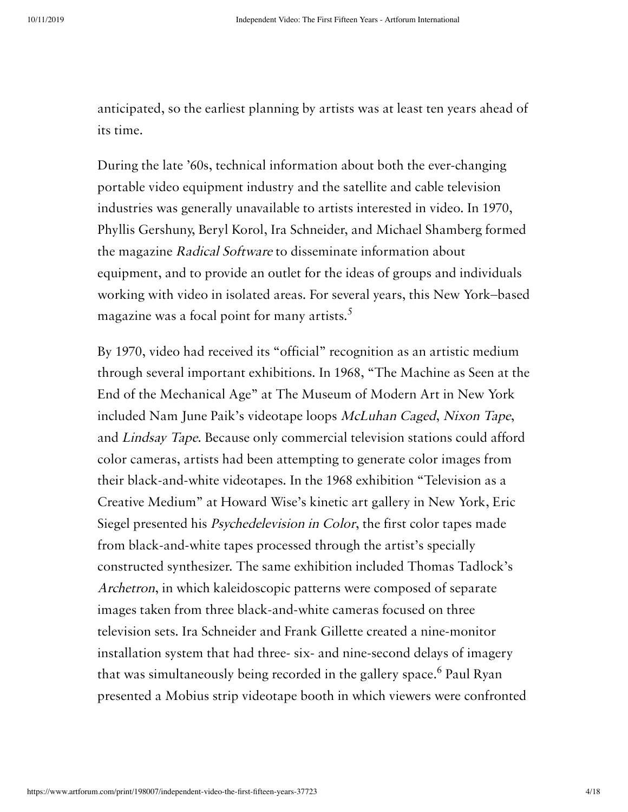anticipated, so the earliest planning by artists was at least ten years ahead of its time.

During the late '60s, technical information about both the ever-changing portable video equipment industry and the satellite and cable television industries was generally unavailable to artists interested in video. In 1970, Phyllis Gershuny, Beryl Korol, Ira Schneider, and Michael Shamberg formed the magazine Radical Software to disseminate information about equipment, and to provide an outlet for the ideas of groups and individuals working with video in isolated areas. For several years, this New York–based magazine was a focal point for many artists.<sup>5</sup>

By 1970, video had received its "official" recognition as an artistic medium through several important exhibitions. In 1968, "The Machine as Seen at the End of the Mechanical Age" at The Museum of Modern Art in New York included Nam June Paik's videotape loops McLuhan Caged, Nixon Tape, and Lindsay Tape. Because only commercial television stations could afford color cameras, artists had been attempting to generate color images from their black-and-white videotapes. In the 1968 exhibition "Television as a Creative Medium" at Howard Wise's kinetic art gallery in New York, Eric Siegel presented his Psychedelevision in Color, the first color tapes made from black-and-white tapes processed through the artist's specially constructed synthesizer. The same exhibition included Thomas Tadlock's Archetron, in which kaleidoscopic patterns were composed of separate images taken from three black-and-white cameras focused on three television sets. Ira Schneider and Frank Gillette created a nine-monitor installation system that had three- six- and nine-second delays of imagery that was simultaneously being recorded in the gallery space.<sup>6</sup> Paul Ryan presented a Mobius strip videotape booth in which viewers were confronted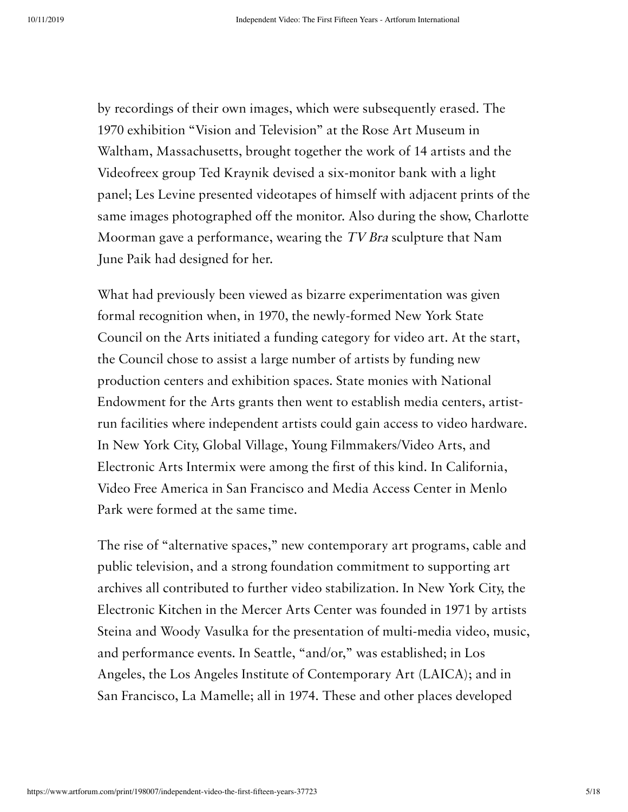by recordings of their own images, which were subsequently erased. The 1970 exhibition "Vision and Television" at the Rose Art Museum in Waltham, Massachusetts, brought together the work of 14 artists and the Videofreex group Ted Kraynik devised a six-monitor bank with a light panel; Les Levine presented videotapes of himself with adjacent prints of the same images photographed off the monitor. Also during the show, Charlotte Moorman gave a performance, wearing the TV Bra sculpture that Nam June Paik had designed for her.

What had previously been viewed as bizarre experimentation was given formal recognition when, in 1970, the newly-formed New York State Council on the Arts initiated a funding category for video art. At the start, the Council chose to assist a large number of artists by funding new production centers and exhibition spaces. State monies with National Endowment for the Arts grants then went to establish media centers, artistrun facilities where independent artists could gain access to video hardware. In New York City, Global Village, Young Filmmakers/Video Arts, and Electronic Arts Intermix were among the first of this kind. In California, Video Free America in San Francisco and Media Access Center in Menlo Park were formed at the same time.

The rise of "alternative spaces," new contemporary art programs, cable and public television, and a strong foundation commitment to supporting art archives all contributed to further video stabilization. In New York City, the Electronic Kitchen in the Mercer Arts Center was founded in 1971 by artists Steina and Woody Vasulka for the presentation of multi-media video, music, and performance events. In Seattle, "and/or," was established; in Los Angeles, the Los Angeles Institute of Contemporary Art (LAICA); and in San Francisco, La Mamelle; all in 1974. These and other places developed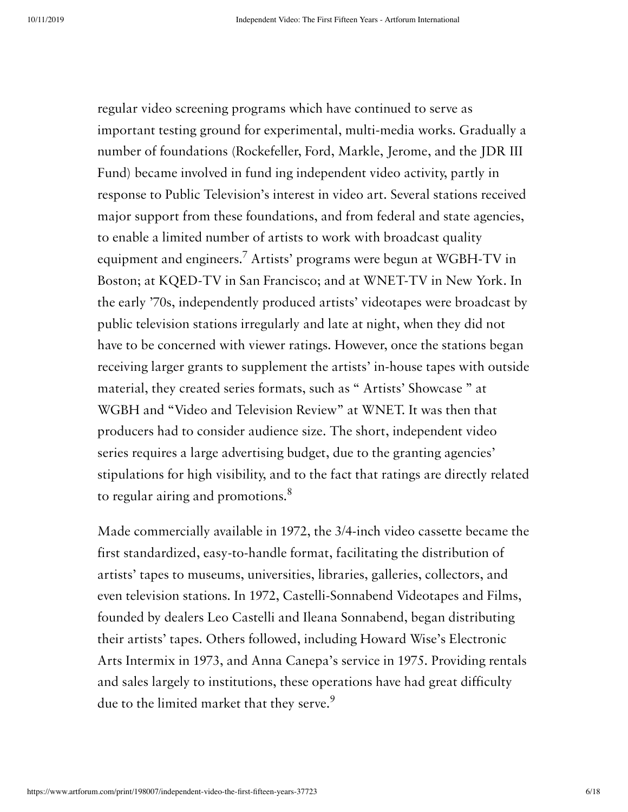regular video screening programs which have continued to serve as important testing ground for experimental, multi-media works. Gradually a number of foundations (Rockefeller, Ford, Markle, Jerome, and the JDR III Fund) became involved in fund ing independent video activity, partly in response to Public Television's interest in video art. Several stations received major support from these foundations, and from federal and state agencies, to enable a limited number of artists to work with broadcast quality equipment and engineers.<sup>7</sup> Artists' programs were begun at WGBH-TV in Boston; at KQED-TV in San Francisco; and at WNET-TV in New York. In the early '70s, independently produced artists' videotapes were broadcast by public television stations irregularly and late at night, when they did not have to be concerned with viewer ratings. However, once the stations began receiving larger grants to supplement the artists' in-house tapes with outside material, they created series formats, such as " Artists' Showcase " at WGBH and "Video and Television Review" at WNET. It was then that producers had to consider audience size. The short, independent video series requires a large advertising budget, due to the granting agencies' stipulations for high visibility, and to the fact that ratings are directly related to regular airing and promotions. $8$ 

Made commercially available in 1972, the 3/4-inch video cassette became the first standardized, easy-to-handle format, facilitating the distribution of artists' tapes to museums, universities, libraries, galleries, collectors, and even television stations. In 1972, Castelli-Sonnabend Videotapes and Films, founded by dealers Leo Castelli and Ileana Sonnabend, began distributing their artists' tapes. Others followed, including Howard Wise's Electronic Arts Intermix in 1973, and Anna Canepa's service in 1975. Providing rentals and sales largely to institutions, these operations have had great difficulty due to the limited market that they serve.<sup>9</sup>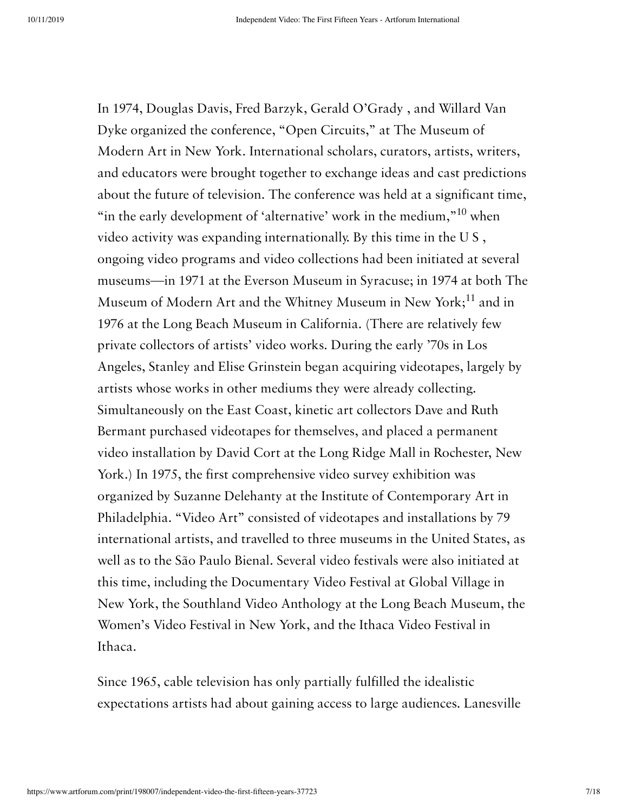In 1974, Douglas Davis, Fred Barzyk, Gerald O'Grady , and Willard Van Dyke organized the conference, "Open Circuits," at The Museum of Modern Art in New York. International scholars, curators, artists, writers, and educators were brought together to exchange ideas and cast predictions about the future of television. The conference was held at a significant time, "in the early development of 'alternative' work in the medium," $10$  when video activity was expanding internationally. By this time in the U S , ongoing video programs and video collections had been initiated at several museums—in 1971 at the Everson Museum in Syracuse; in 1974 at both The Museum of Modern Art and the Whitney Museum in New York;<sup>11</sup> and in 1976 at the Long Beach Museum in California. (There are relatively few private collectors of artists' video works. During the early '70s in Los Angeles, Stanley and Elise Grinstein began acquiring videotapes, largely by artists whose works in other mediums they were already collecting. Simultaneously on the East Coast, kinetic art collectors Dave and Ruth Bermant purchased videotapes for themselves, and placed a permanent video installation by David Cort at the Long Ridge Mall in Rochester, New York.) In 1975, the first comprehensive video survey exhibition was organized by Suzanne Delehanty at the Institute of Contemporary Art in Philadelphia. "Video Art" consisted of videotapes and installations by 79 international artists, and travelled to three museums in the United States, as well as to the São Paulo Bienal. Several video festivals were also initiated at this time, including the Documentary Video Festival at Global Village in New York, the Southland Video Anthology at the Long Beach Museum, the Women's Video Festival in New York, and the Ithaca Video Festival in Ithaca.

Since 1965, cable television has only partially fulfilled the idealistic expectations artists had about gaining access to large audiences. Lanesville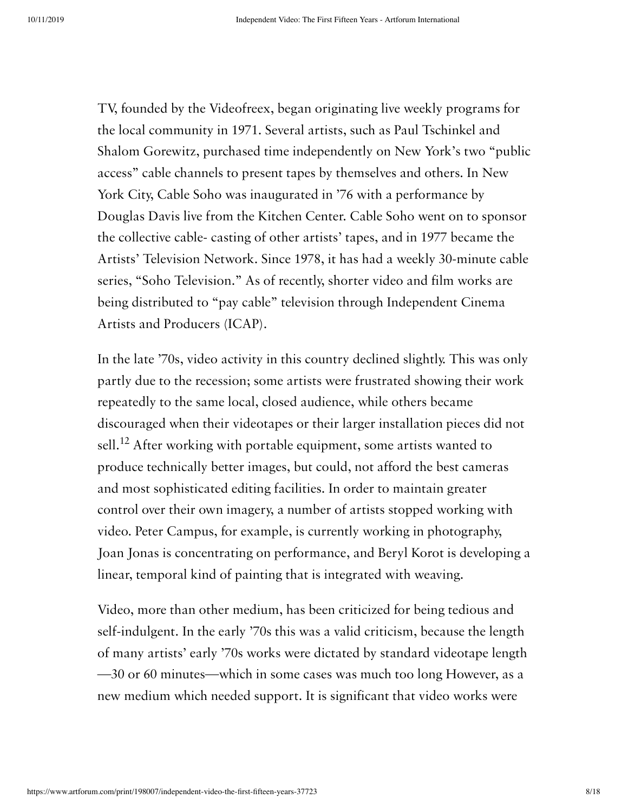TV, founded by the Videofreex, began originating live weekly programs for the local community in 1971. Several artists, such as Paul Tschinkel and Shalom Gorewitz, purchased time independently on New York's two "public access" cable channels to present tapes by themselves and others. In New York City, Cable Soho was inaugurated in '76 with a performance by Douglas Davis live from the Kitchen Center. Cable Soho went on to sponsor the collective cable- casting of other artists' tapes, and in 1977 became the Artists' Television Network. Since 1978, it has had a weekly 30-minute cable series, "Soho Television." As of recently, shorter video and film works are being distributed to "pay cable" television through Independent Cinema Artists and Producers (ICAP).

In the late '70s, video activity in this country declined slightly. This was only partly due to the recession; some artists were frustrated showing their work repeatedly to the same local, closed audience, while others became discouraged when their videotapes or their larger installation pieces did not sell.<sup>12</sup> After working with portable equipment, some artists wanted to produce technically better images, but could, not afford the best cameras and most sophisticated editing facilities. In order to maintain greater control over their own imagery, a number of artists stopped working with video. Peter Campus, for example, is currently working in photography, Joan Jonas is concentrating on performance, and Beryl Korot is developing a linear, temporal kind of painting that is integrated with weaving.

Video, more than other medium, has been criticized for being tedious and self-indulgent. In the early '70s this was a valid criticism, because the length of many artists' early '70s works were dictated by standard videotape length —30 or 60 minutes—which in some cases was much too long However, as a new medium which needed support. It is significant that video works were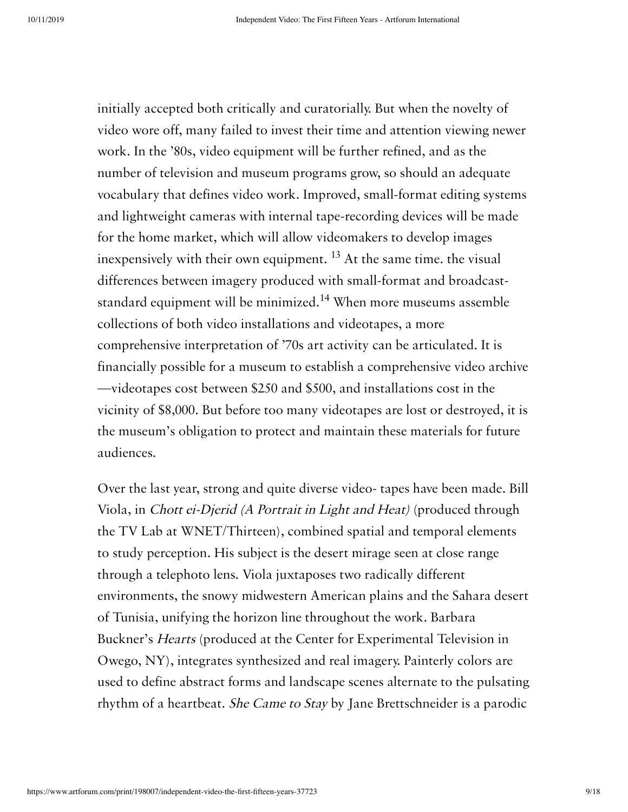initially accepted both critically and curatorially. But when the novelty of video wore off, many failed to invest their time and attention viewing newer work. In the '80s, video equipment will be further refined, and as the number of television and museum programs grow, so should an adequate vocabulary that defines video work. Improved, small-format editing systems and lightweight cameras with internal tape-recording devices will be made for the home market, which will allow videomakers to develop images inexpensively with their own equipment.  $^{13}$  At the same time. the visual differences between imagery produced with small-format and broadcaststandard equipment will be minimized.<sup>14</sup> When more museums assemble collections of both video installations and videotapes, a more comprehensive interpretation of '70s art activity can be articulated. It is financially possible for a museum to establish a comprehensive video archive —videotapes cost between \$250 and \$500, and installations cost in the vicinity of \$8,000. But before too many videotapes are lost or destroyed, it is the museum's obligation to protect and maintain these materials for future audiences.

Over the last year, strong and quite diverse video- tapes have been made. Bill Viola, in Chott ei-Djerid (A Portrait in Light and Heat) (produced through the TV Lab at WNET/Thirteen), combined spatial and temporal elements to study perception. His subject is the desert mirage seen at close range through a telephoto lens. Viola juxtaposes two radically different environments, the snowy midwestern American plains and the Sahara desert of Tunisia, unifying the horizon line throughout the work. Barbara Buckner's Hearts (produced at the Center for Experimental Television in Owego, NY), integrates synthesized and real imagery. Painterly colors are used to define abstract forms and landscape scenes alternate to the pulsating rhythm of a heartbeat. She Came to Stay by Jane Brettschneider is a parodic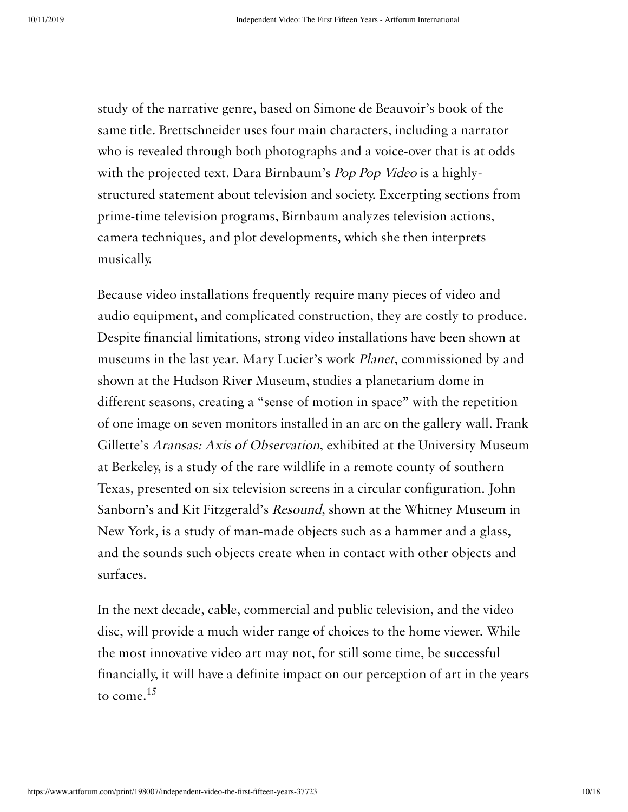study of the narrative genre, based on Simone de Beauvoir's book of the same title. Brettschneider uses four main characters, including a narrator who is revealed through both photographs and a voice-over that is at odds with the projected text. Dara Birnbaum's Pop Pop Video is a highlystructured statement about television and society. Excerpting sections from prime-time television programs, Birnbaum analyzes television actions, camera techniques, and plot developments, which she then interprets musically.

Because video installations frequently require many pieces of video and audio equipment, and complicated construction, they are costly to produce. Despite financial limitations, strong video installations have been shown at museums in the last year. Mary Lucier's work Planet, commissioned by and shown at the Hudson River Museum, studies a planetarium dome in different seasons, creating a "sense of motion in space" with the repetition of one image on seven monitors installed in an arc on the gallery wall. Frank Gillette's Aransas: Axis of Observation, exhibited at the University Museum at Berkeley, is a study of the rare wildlife in a remote county of southern Texas, presented on six television screens in a circular configuration. John Sanborn's and Kit Fitzgerald's Resound, shown at the Whitney Museum in New York, is a study of man-made objects such as a hammer and a glass, and the sounds such objects create when in contact with other objects and surfaces.

In the next decade, cable, commercial and public television, and the video disc, will provide a much wider range of choices to the home viewer. While the most innovative video art may not, for still some time, be successful financially, it will have a definite impact on our perception of art in the years to come. 15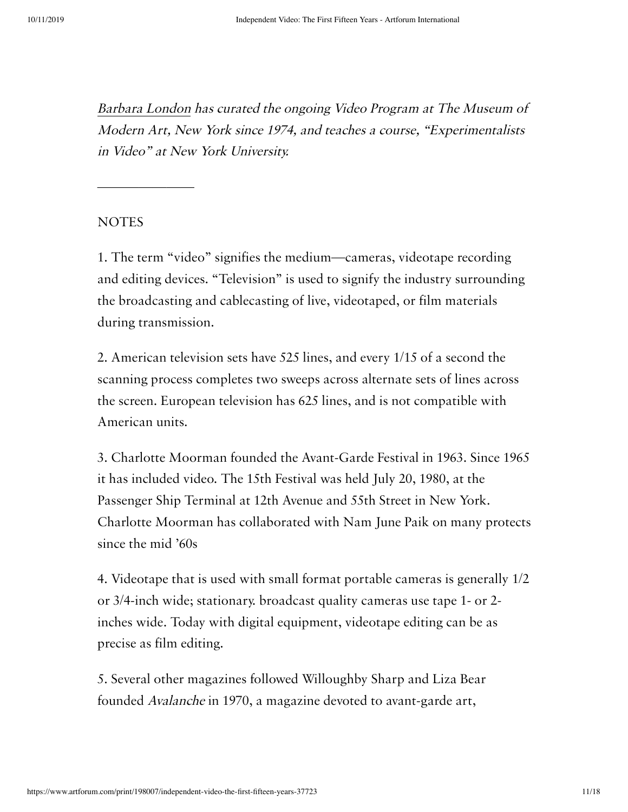[Barbara](https://www.artforum.com/contributor/barbara-london) London has curated the ongoing Video Program at The Museum of Modern Art, New York since 1974, and teaches <sup>a</sup> course, "Experimentalists in Video" at New York University.

### **NOTES**

———————

1. The term "video" signifies the medium—cameras, videotape recording and editing devices. "Television" is used to signify the industry surrounding the broadcasting and cablecasting of live, videotaped, or film materials during transmission.

2. American television sets have 525 lines, and every 1/15 of a second the scanning process completes two sweeps across alternate sets of lines across the screen. European television has 625 lines, and is not compatible with American units.

3. Charlotte Moorman founded the Avant-Garde Festival in 1963. Since 1965 it has included video. The 15th Festival was held July 20, 1980, at the Passenger Ship Terminal at 12th Avenue and 55th Street in New York. Charlotte Moorman has collaborated with Nam June Paik on many protects since the mid '60s

4. Videotape that is used with small format portable cameras is generally 1/2 or 3/4-inch wide; stationary. broadcast quality cameras use tape 1- or 2 inches wide. Today with digital equipment, videotape editing can be as precise as film editing.

5. Several other magazines followed Willoughby Sharp and Liza Bear founded Avalanche in 1970, a magazine devoted to avant-garde art,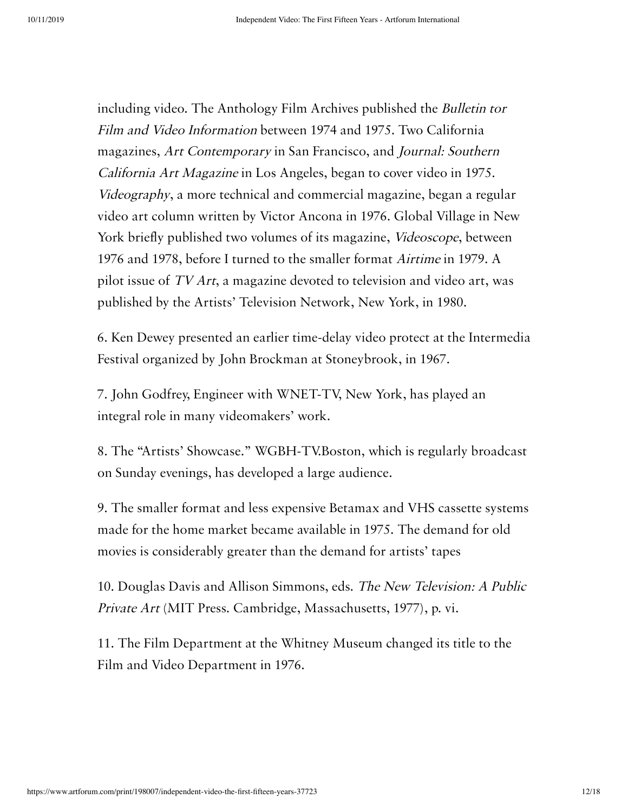including video. The Anthology Film Archives published the Bulletin tor Film and Video Information between 1974 and 1975. Two California magazines, Art Contemporary in San Francisco, and Journal: Southern California Art Magazine in Los Angeles, began to cover video in 1975. Videography, a more technical and commercial magazine, began a regular video art column written by Victor Ancona in 1976. Global Village in New York briefly published two volumes of its magazine, Videoscope, between 1976 and 1978, before I turned to the smaller format Airtime in 1979. A pilot issue of TV Art, a magazine devoted to television and video art, was published by the Artists' Television Network, New York, in 1980.

6. Ken Dewey presented an earlier time-delay video protect at the Intermedia Festival organized by John Brockman at Stoneybrook, in 1967.

7. John Godfrey, Engineer with WNET-TV, New York, has played an integral role in many videomakers' work.

8. The "Artists' Showcase." WGBH-TV.Boston, which is regularly broadcast on Sunday evenings, has developed a large audience.

9. The smaller format and less expensive Betamax and VHS cassette systems made for the home market became available in 1975. The demand for old movies is considerably greater than the demand for artists' tapes

10. Douglas Davis and Allison Simmons, eds. The New Television: <sup>A</sup> Public Private Art (MIT Press. Cambridge, Massachusetts, 1977), p. vi.

11. The Film Department at the Whitney Museum changed its title to the Film and Video Department in 1976.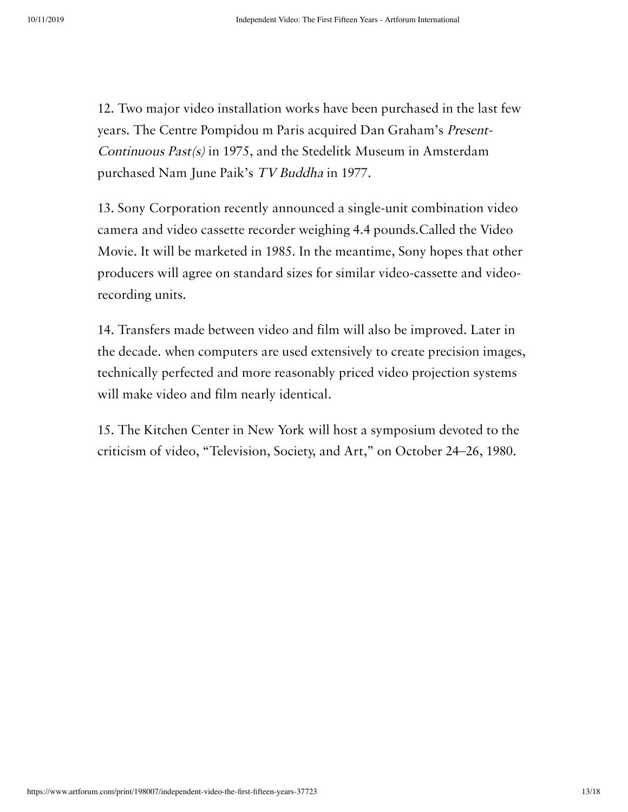12. Two major video installation works have been purchased in the last few years. The Centre Pompidou m Paris acquired Dan Graham's Present-Continuous Past(s) in 1975, and the Stedelitk Museum in Amsterdam purchased Nam June Paik's TV Buddha in 1977.

13. Sony Corporation recently announced a single-unit combination video camera and video cassette recorder weighing 4.4 pounds.Called the Video Movie. It will be marketed in 1985. In the meantime, Sony hopes that other producers will agree on standard sizes for similar video-cassette and videorecording units.

14. Transfers made between video and film will also be improved. Later in the decade. when computers are used extensively to create precision images, technically perfected and more reasonably priced video projection systems will make video and film nearly identical.

15. The Kitchen Center in New York will host a symposium devoted to the criticism of video, "Television, Society, and Art," on October 24–26, 1980.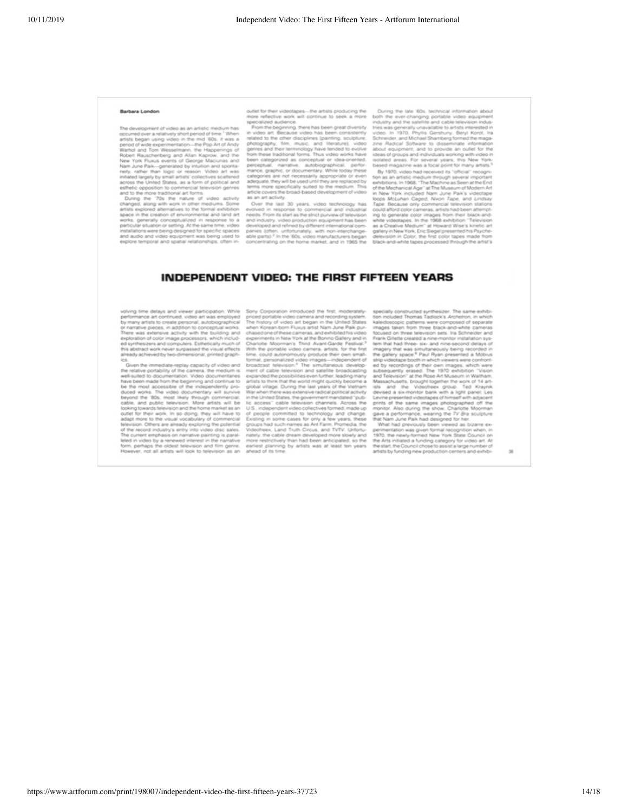#### Barbara London

te development of video as an artistic in The development of video as an artistic medium has<br>cocumod over a velatively short period of time. "When artists began using video in the mind. Oo, it was a<br>artist began using video in the mind. Oo, it was a period of wide

pross the United States, as a norm of poincar and<br>stifted opposition to commercial television genres<br>ind to the move traditional art forms.<br>During the 170s the nature of video activity<br>fanged, along with work in other medi rks, generally conceptualized in response to a<br>ficular situation or setting. At the same time, video stallations were being designed for specific spaces<br>id audio and video equipment was being used to temporal and spatial relationships, often in

outlet for their videotages—the artists producing the . During the late 80s, technical information about more reflective work will continue to seek a more both the even-changing portable video equipment specified audience

evolved in response to commercial and industrial<br>needs. From its start as the strict purview of television and industry, video production equipment has been enviroped and refined by different international com-<br>panies (offer, unfortunately, with non-interchange-<br>able parts).<sup>2</sup> In the '60s, video manufacturers began parts)." In the '60s, video manufacturers began<br>tentrating on the home market, and in 1965 the

Tape. Because only commercial television stations<br>could afford color cameras, arists had been attempt<br>ing to generate color images from their black-and-<br>white videotapes. In the 1968 exhibition "Television"<br>as a Creative M jon in Color, the first color tapes made black-and-white tapes processed through the artist's

#### INDEPENDENT VIDEO: THE FIRST FIFTEEN YEARS

volving time delays and viewer participation. While<br>performance art continued, video art was employed by many artists to create personal, autobiographical<br>of narrative people, in addition to conceptual works<br>there was exte

nedy achieved by two-dimensional, printed graph-<br>liveps the immediate-septial graph-<br>liveps the initial set and the mediate portability of the cameral, the mediam is<br>a related to documentation. Video documentation<br>is been

ation. While Sony Corporation introduced the first, moderanily-<br>significant of the Sony Corporation interaction and recording systems.<br>Sographical The history of video and began in the United States using public and the Un Sory Corporation introduced the first, a

specially constructed symblesizer. The same exhibition included Thomas Tadiscics Archetecn, in which sales<br>doscopics patterns were composed of separate same exhibition of the<br>matrix were the composed of separate former tr

 $\overline{\phantom{a}}$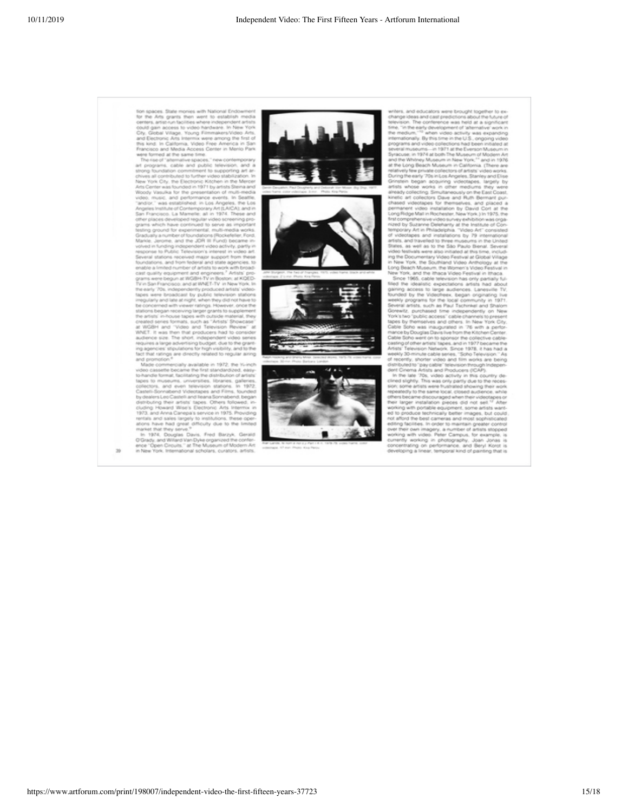

Ä.

36





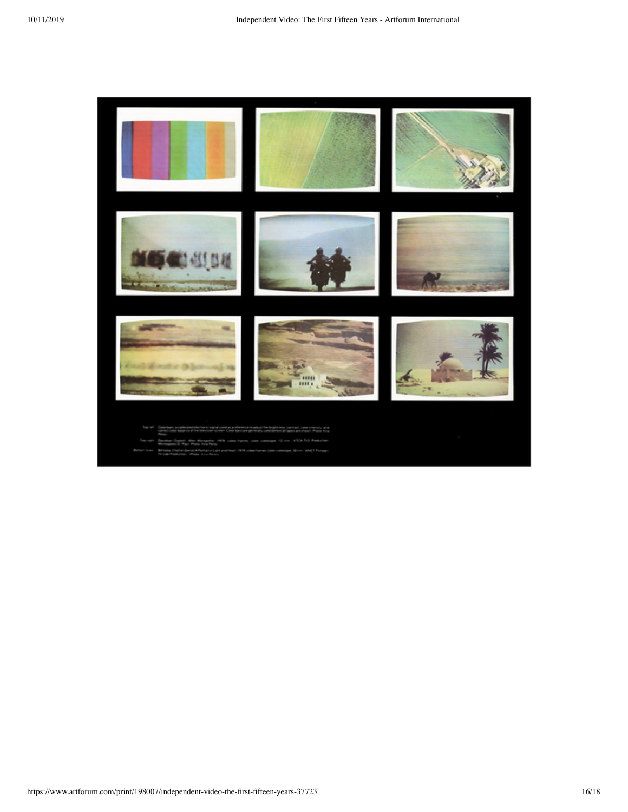